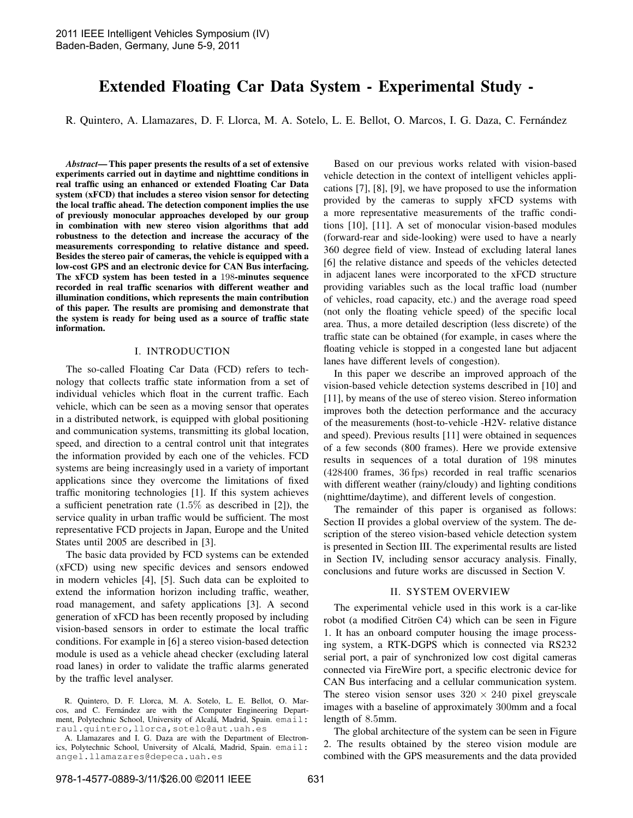# **Extended Floating Car Data System - Experimental Study -**

R. Quintero, A. Llamazares, D. F. Llorca, M. A. Sotelo, L. E. Bellot, O. Marcos, I. G. Daza, C. Fernández

*Abstract***—This paper presents the results of a set of extensive experiments carried out in daytime and nighttime conditions in real traffic using an enhanced or extended Floating Car Data system (xFCD) that includes a stereo vision sensor for detecting the local traffic ahead. The detection component implies the use of previously monocular approaches developed by our group in combination with new stereo vision algorithms that add robustness to the detection and increase the accuracy of the measurements corresponding to relative distance and speed. Besides the stereo pair of cameras, the vehicle is equipped with a low-cost GPS and an electronic device for CAN Bus interfacing. The xFCD system has been tested in a** 198**-minutes sequence recorded in real traffic scenarios with different weather and illumination conditions, which represents the main contribution of this paper. The results are promising and demonstrate that the system is ready for being used as a source of traffic state information.**

#### I. INTRODUCTION

The so-called Floating Car Data (FCD) refers to technology that collects traffic state information from a set of individual vehicles which float in the current traffic. Each vehicle, which can be seen as a moving sensor that operates in a distributed network, is equipped with global positioning and communication systems, transmitting its global location, speed, and direction to a central control unit that integrates the information provided by each one of the vehicles. FCD systems are being increasingly used in a variety of important applications since they overcome the limitations of fixed traffic monitoring technologies [1]. If this system achieves a sufficient penetration rate (1.5% as described in [2]), the service quality in urban traffic would be sufficient. The most representative FCD projects in Japan, Europe and the United States until 2005 are described in [3].

The basic data provided by FCD systems can be extended (xFCD) using new specific devices and sensors endowed in modern vehicles [4], [5]. Such data can be exploited to extend the information horizon including traffic, weather, road management, and safety applications [3]. A second generation of xFCD has been recently proposed by including vision-based sensors in order to estimate the local traffic conditions. For example in [6] a stereo vision-based detection module is used as a vehicle ahead checker (excluding lateral road lanes) in order to validate the traffic alarms generated by the traffic level analyser.

Based on our previous works related with vision-based vehicle detection in the context of intelligent vehicles applications [7], [8], [9], we have proposed to use the information provided by the cameras to supply xFCD systems with a more representative measurements of the traffic conditions [10], [11]. A set of monocular vision-based modules (forward-rear and side-looking) were used to have a nearly 360 degree field of view. Instead of excluding lateral lanes [6] the relative distance and speeds of the vehicles detected in adjacent lanes were incorporated to the xFCD structure providing variables such as the local traffic load (number of vehicles, road capacity, etc.) and the average road speed (not only the floating vehicle speed) of the specific local area. Thus, a more detailed description (less discrete) of the traffic state can be obtained (for example, in cases where the floating vehicle is stopped in a congested lane but adjacent lanes have different levels of congestion).

In this paper we describe an improved approach of the vision-based vehicle detection systems described in [10] and [11], by means of the use of stereo vision. Stereo information improves both the detection performance and the accuracy of the measurements (host-to-vehicle -H2V- relative distance and speed). Previous results [11] were obtained in sequences of a few seconds (800 frames). Here we provide extensive results in sequences of a total duration of 198 minutes (428400 frames, 36 fps) recorded in real traffic scenarios with different weather (rainy/cloudy) and lighting conditions (nighttime/daytime), and different levels of congestion.

The remainder of this paper is organised as follows: Section II provides a global overview of the system. The description of the stereo vision-based vehicle detection system is presented in Section III. The experimental results are listed in Section IV, including sensor accuracy analysis. Finally, conclusions and future works are discussed in Section V.

### II. SYSTEM OVERVIEW

The experimental vehicle used in this work is a car-like robot (a modified Citröen C4) which can be seen in Figure 1. It has an onboard computer housing the image processing system, a RTK-DGPS which is connected via RS232 serial port, a pair of synchronized low cost digital cameras connected via FireWire port, a specific electronic device for CAN Bus interfacing and a cellular communication system. The stereo vision sensor uses  $320 \times 240$  pixel greyscale images with a baseline of approximately 300mm and a focal length of 8.5mm.

The global architecture of the system can be seen in Figure 2. The results obtained by the stereo vision module are combined with the GPS measurements and the data provided

R. Quintero, D. F. Llorca, M. A. Sotelo, L. E. Bellot, O. Marcos, and C. Fernández are with the Computer Engineering Department, Polytechnic School, University of Alcalá, Madrid, Spain. email: raul.quintero,llorca,sotelo@aut.uah.es

A. Llamazares and I. G. Daza are with the Department of Electronics, Polytechnic School, University of Alcalá, Madrid, Spain. email: angel.llamazares@depeca.uah.es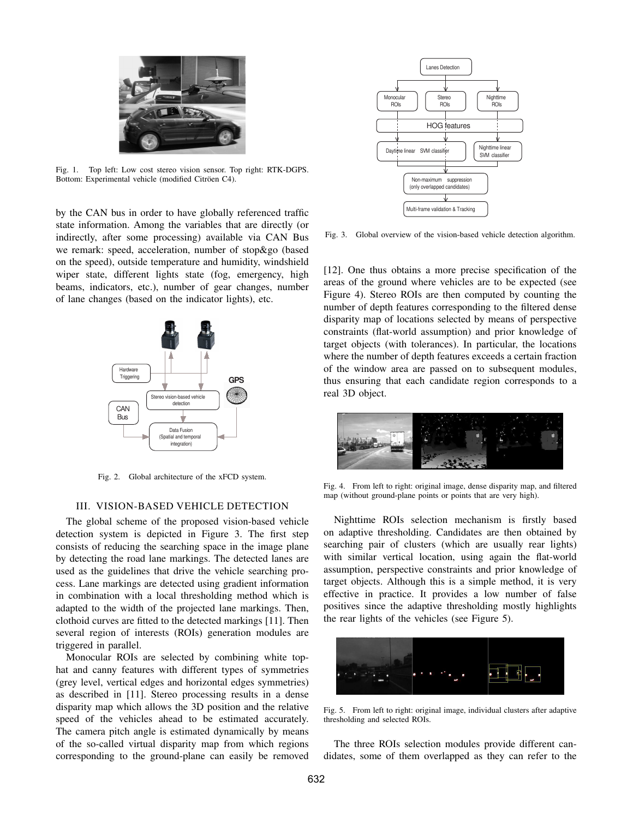

Fig. 1. Top left: Low cost stereo vision sensor. Top right: RTK-DGPS. Bottom: Experimental vehicle (modified Citröen C4).

by the CAN bus in order to have globally referenced traffic state information. Among the variables that are directly (or indirectly, after some processing) available via CAN Bus we remark: speed, acceleration, number of stop&go (based on the speed), outside temperature and humidity, windshield wiper state, different lights state (fog, emergency, high beams, indicators, etc.), number of gear changes, number of lane changes (based on the indicator lights), etc.



Fig. 2. Global architecture of the xFCD system.

#### III. VISION-BASED VEHICLE DETECTION

The global scheme of the proposed vision-based vehicle detection system is depicted in Figure 3. The first step consists of reducing the searching space in the image plane by detecting the road lane markings. The detected lanes are used as the guidelines that drive the vehicle searching process. Lane markings are detected using gradient information in combination with a local thresholding method which is adapted to the width of the projected lane markings. Then, clothoid curves are fitted to the detected markings [11]. Then several region of interests (ROIs) generation modules are triggered in parallel.

Monocular ROIs are selected by combining white tophat and canny features with different types of symmetries (grey level, vertical edges and horizontal edges symmetries) as described in [11]. Stereo processing results in a dense disparity map which allows the 3D position and the relative speed of the vehicles ahead to be estimated accurately. The camera pitch angle is estimated dynamically by means of the so-called virtual disparity map from which regions corresponding to the ground-plane can easily be removed



Fig. 3. Global overview of the vision-based vehicle detection algorithm.

[12]. One thus obtains a more precise specification of the areas of the ground where vehicles are to be expected (see Figure 4). Stereo ROIs are then computed by counting the number of depth features corresponding to the filtered dense disparity map of locations selected by means of perspective constraints (flat-world assumption) and prior knowledge of target objects (with tolerances). In particular, the locations where the number of depth features exceeds a certain fraction of the window area are passed on to subsequent modules, thus ensuring that each candidate region corresponds to a real 3D object.



Fig. 4. From left to right: original image, dense disparity map, and filtered map (without ground-plane points or points that are very high).

Nighttime ROIs selection mechanism is firstly based on adaptive thresholding. Candidates are then obtained by searching pair of clusters (which are usually rear lights) with similar vertical location, using again the flat-world assumption, perspective constraints and prior knowledge of target objects. Although this is a simple method, it is very effective in practice. It provides a low number of false positives since the adaptive thresholding mostly highlights the rear lights of the vehicles (see Figure 5).



Fig. 5. From left to right: original image, individual clusters after adaptive thresholding and selected ROIs.

The three ROIs selection modules provide different candidates, some of them overlapped as they can refer to the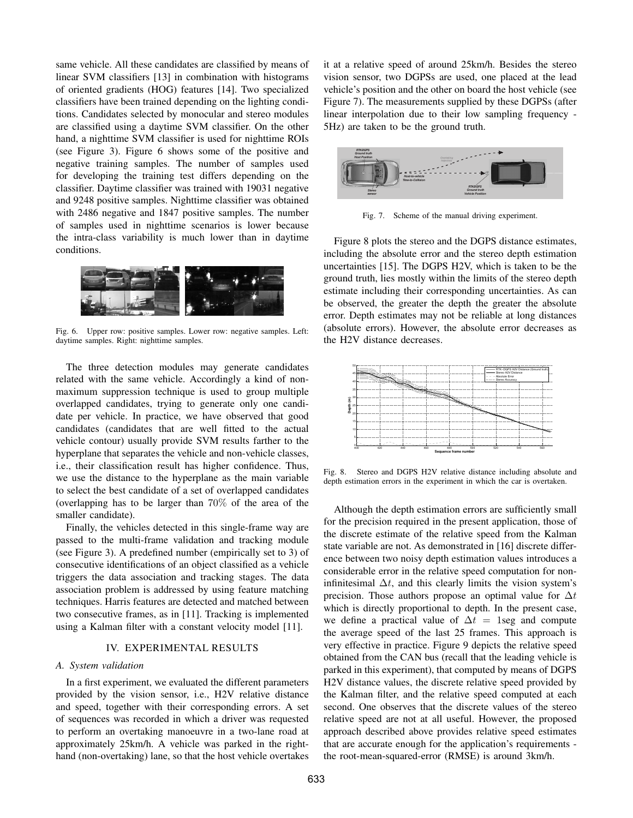same vehicle. All these candidates are classified by means of linear SVM classifiers [13] in combination with histograms of oriented gradients (HOG) features [14]. Two specialized classifiers have been trained depending on the lighting conditions. Candidates selected by monocular and stereo modules are classified using a daytime SVM classifier. On the other hand, a nighttime SVM classifier is used for nighttime ROIs (see Figure 3). Figure 6 shows some of the positive and negative training samples. The number of samples used for developing the training test differs depending on the classifier. Daytime classifier was trained with 19031 negative and 9248 positive samples. Nighttime classifier was obtained with 2486 negative and 1847 positive samples. The number of samples used in nighttime scenarios is lower because the intra-class variability is much lower than in daytime conditions.



Fig. 6. Upper row: positive samples. Lower row: negative samples. Left: daytime samples. Right: nighttime samples.

The three detection modules may generate candidates related with the same vehicle. Accordingly a kind of nonmaximum suppression technique is used to group multiple overlapped candidates, trying to generate only one candidate per vehicle. In practice, we have observed that good candidates (candidates that are well fitted to the actual vehicle contour) usually provide SVM results farther to the hyperplane that separates the vehicle and non-vehicle classes, i.e., their classification result has higher confidence. Thus, we use the distance to the hyperplane as the main variable to select the best candidate of a set of overlapped candidates (overlapping has to be larger than 70% of the area of the smaller candidate).

Finally, the vehicles detected in this single-frame way are passed to the multi-frame validation and tracking module (see Figure 3). A predefined number (empirically set to 3) of consecutive identifications of an object classified as a vehicle triggers the data association and tracking stages. The data association problem is addressed by using feature matching techniques. Harris features are detected and matched between two consecutive frames, as in [11]. Tracking is implemented using a Kalman filter with a constant velocity model [11].

#### IV. EXPERIMENTAL RESULTS

#### *A. System validation*

In a first experiment, we evaluated the different parameters provided by the vision sensor, i.e., H2V relative distance and speed, together with their corresponding errors. A set of sequences was recorded in which a driver was requested to perform an overtaking manoeuvre in a two-lane road at approximately 25km/h. A vehicle was parked in the righthand (non-overtaking) lane, so that the host vehicle overtakes it at a relative speed of around 25km/h. Besides the stereo vision sensor, two DGPSs are used, one placed at the lead vehicle's position and the other on board the host vehicle (see Figure 7). The measurements supplied by these DGPSs (after linear interpolation due to their low sampling frequency - 5Hz) are taken to be the ground truth.



Fig. 7. Scheme of the manual driving experiment.

Figure 8 plots the stereo and the DGPS distance estimates, including the absolute error and the stereo depth estimation uncertainties [15]. The DGPS H2V, which is taken to be the ground truth, lies mostly within the limits of the stereo depth estimate including their corresponding uncertainties. As can be observed, the greater the depth the greater the absolute error. Depth estimates may not be reliable at long distances (absolute errors). However, the absolute error decreases as the H2V distance decreases.



Fig. 8. Stereo and DGPS H2V relative distance including absolute and depth estimation errors in the experiment in which the car is overtaken.

Although the depth estimation errors are sufficiently small for the precision required in the present application, those of the discrete estimate of the relative speed from the Kalman state variable are not. As demonstrated in [16] discrete difference between two noisy depth estimation values introduces a considerable error in the relative speed computation for noninfinitesimal  $\Delta t$ , and this clearly limits the vision system's precision. Those authors propose an optimal value for  $\Delta t$ which is directly proportional to depth. In the present case, we define a practical value of  $\Delta t = 1$ seg and compute the average speed of the last 25 frames. This approach is very effective in practice. Figure 9 depicts the relative speed obtained from the CAN bus (recall that the leading vehicle is parked in this experiment), that computed by means of DGPS H2V distance values, the discrete relative speed provided by the Kalman filter, and the relative speed computed at each second. One observes that the discrete values of the stereo relative speed are not at all useful. However, the proposed approach described above provides relative speed estimates that are accurate enough for the application's requirements the root-mean-squared-error (RMSE) is around 3km/h.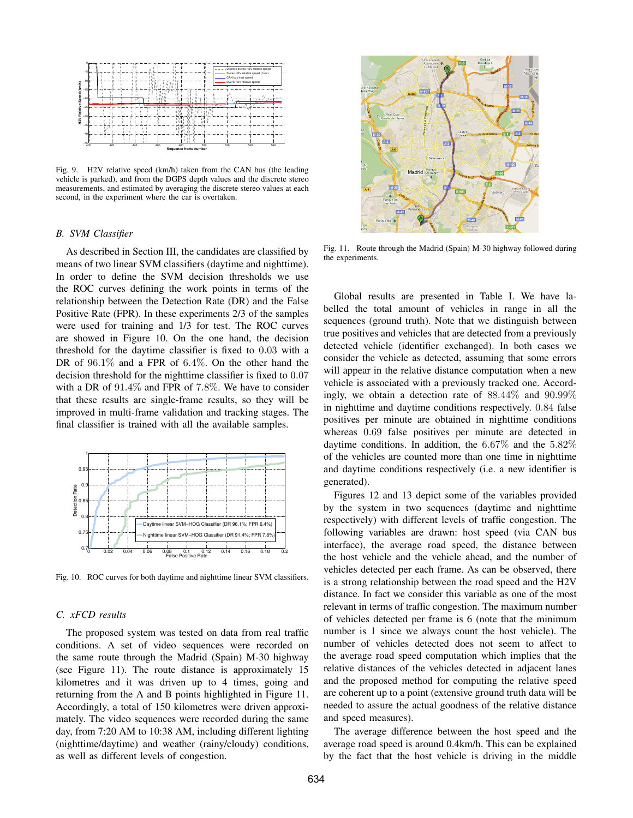

Fig. 9. H2V relative speed (km/h) taken from the CAN bus (the leading vehicle is parked), and from the DGPS depth values and the discrete stereo measurements, and estimated by averaging the discrete stereo values at each second, in the experiment where the car is overtaken.

#### *B. SVM Classifier*

As described in Section III, the candidates are classified by means of two linear SVM classifiers (daytime and nighttime). In order to define the SVM decision thresholds we use the ROC curves defining the work points in terms of the relationship between the Detection Rate (DR) and the False Positive Rate (FPR). In these experiments 2/3 of the samples were used for training and 1/3 for test. The ROC curves are showed in Figure 10. On the one hand, the decision threshold for the daytime classifier is fixed to 0.03 with a DR of 96.1% and a FPR of 6.4%. On the other hand the decision threshold for the nighttime classifier is fixed to 0.07 with a DR of 91.4% and FPR of 7.8%. We have to consider that these results are single-frame results, so they will be improved in multi-frame validation and tracking stages. The final classifier is trained with all the available samples.



Fig. 10. ROC curves for both daytime and nighttime linear SVM classifiers.

# *C. xFCD results*

The proposed system was tested on data from real traffic conditions. A set of video sequences were recorded on the same route through the Madrid (Spain) M-30 highway (see Figure 11). The route distance is approximately 15 kilometres and it was driven up to 4 times, going and returning from the A and B points highlighted in Figure 11. Accordingly, a total of 150 kilometres were driven approximately. The video sequences were recorded during the same day, from 7:20 AM to 10:38 AM, including different lighting (nighttime/daytime) and weather (rainy/cloudy) conditions, as well as different levels of congestion.



Fig. 11. Route through the Madrid (Spain) M-30 highway followed during the experiments.

Global results are presented in Table I. We have labelled the total amount of vehicles in range in all the sequences (ground truth). Note that we distinguish between true positives and vehicles that are detected from a previously detected vehicle (identifier exchanged). In both cases we consider the vehicle as detected, assuming that some errors will appear in the relative distance computation when a new vehicle is associated with a previously tracked one. Accordingly, we obtain a detection rate of 88.44% and 90.99% in nighttime and daytime conditions respectively. 0.84 false positives per minute are obtained in nighttime conditions whereas 0.69 false positives per minute are detected in daytime conditions. In addition, the 6.67% and the 5.82% of the vehicles are counted more than one time in nighttime and daytime conditions respectively (i.e. a new identifier is generated).

Figures 12 and 13 depict some of the variables provided by the system in two sequences (daytime and nighttime respectively) with different levels of traffic congestion. The following variables are drawn: host speed (via CAN bus interface), the average road speed, the distance between the host vehicle and the vehicle ahead, and the number of vehicles detected per each frame. As can be observed, there is a strong relationship between the road speed and the H2V distance. In fact we consider this variable as one of the most relevant in terms of traffic congestion. The maximum number of vehicles detected per frame is 6 (note that the minimum number is 1 since we always count the host vehicle). The number of vehicles detected does not seem to affect to the average road speed computation which implies that the relative distances of the vehicles detected in adjacent lanes and the proposed method for computing the relative speed are coherent up to a point (extensive ground truth data will be needed to assure the actual goodness of the relative distance and speed measures).

The average difference between the host speed and the average road speed is around 0.4km/h. This can be explained by the fact that the host vehicle is driving in the middle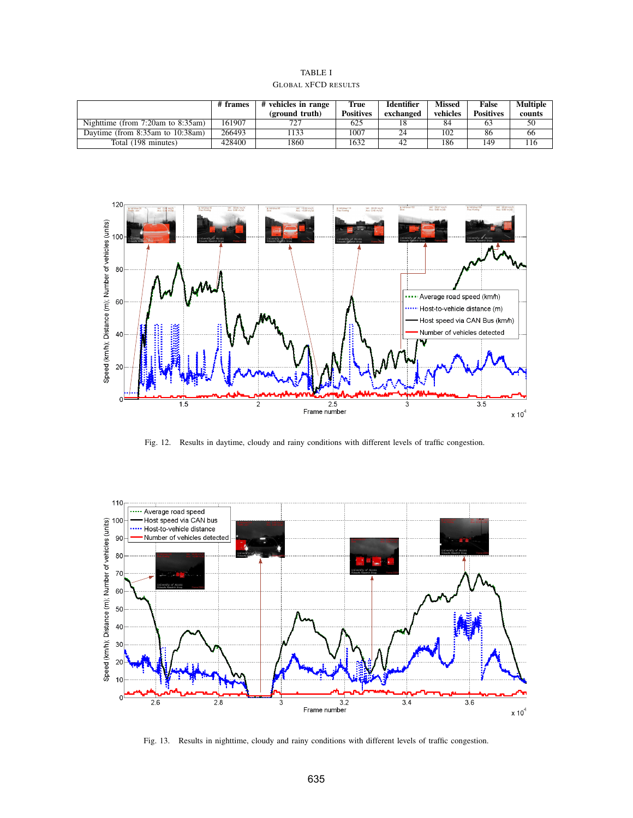| TABLE I                    |
|----------------------------|
| <b>GLOBAL XFCD RESULTS</b> |

|                                         | # frames | # vehicles in range | True             | <b>Identifier</b> | <b>Missed</b> | False            | <b>Multiple</b> |
|-----------------------------------------|----------|---------------------|------------------|-------------------|---------------|------------------|-----------------|
|                                         |          | (ground truth)      | <b>Positives</b> | exchanged         | vehicles      | <b>Positives</b> | counts          |
| Nighttime (from $7:20$ am to $8:35$ am) | 161907   | 727                 | 625              |                   | 84            |                  | 50              |
| Daytime (from $8:35$ am to $10:38$ am)  | 266493   | 133                 | 1007             | 24                | 102           | 86               | 66              |
| Total (198 minutes)                     | 428400   | 1860                | 1632             | 42                | 186           | 149              |                 |



Fig. 12. Results in daytime, cloudy and rainy conditions with different levels of traffic congestion.



Fig. 13. Results in nighttime, cloudy and rainy conditions with different levels of traffic congestion.